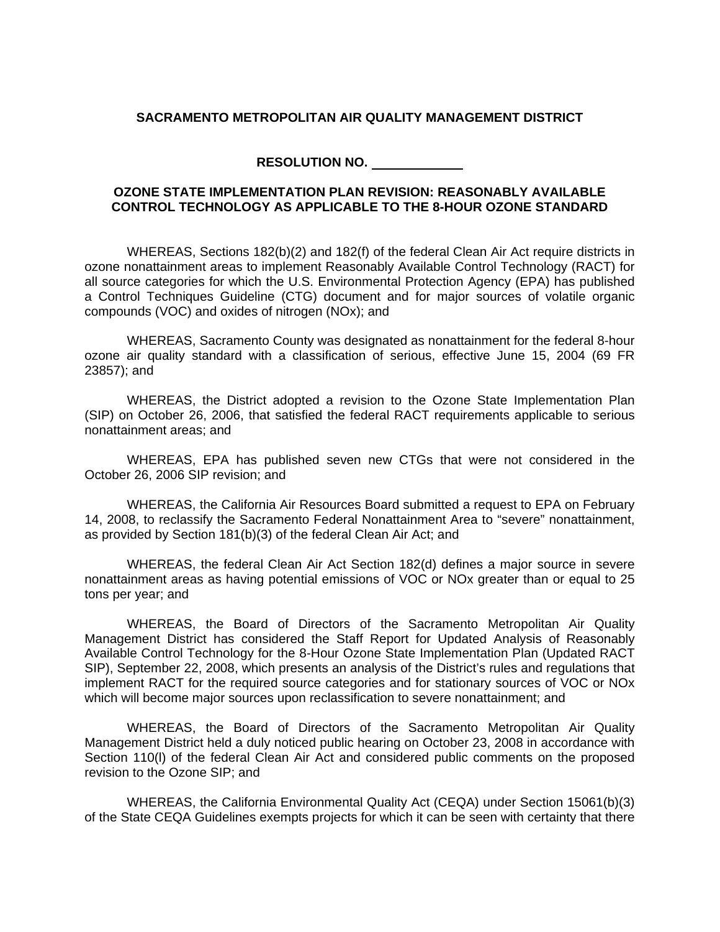## **SACRAMENTO METROPOLITAN AIR QUALITY MANAGEMENT DISTRICT**

**RESOLUTION NO.** 

## **OZONE STATE IMPLEMENTATION PLAN REVISION: REASONABLY AVAILABLE CONTROL TECHNOLOGY AS APPLICABLE TO THE 8-HOUR OZONE STANDARD**

WHEREAS, Sections 182(b)(2) and 182(f) of the federal Clean Air Act require districts in ozone nonattainment areas to implement Reasonably Available Control Technology (RACT) for all source categories for which the U.S. Environmental Protection Agency (EPA) has published a Control Techniques Guideline (CTG) document and for major sources of volatile organic compounds (VOC) and oxides of nitrogen (NOx); and

WHEREAS, Sacramento County was designated as nonattainment for the federal 8-hour ozone air quality standard with a classification of serious, effective June 15, 2004 (69 FR 23857); and

WHEREAS, the District adopted a revision to the Ozone State Implementation Plan (SIP) on October 26, 2006, that satisfied the federal RACT requirements applicable to serious nonattainment areas; and

WHEREAS, EPA has published seven new CTGs that were not considered in the October 26, 2006 SIP revision; and

WHEREAS, the California Air Resources Board submitted a request to EPA on February 14, 2008, to reclassify the Sacramento Federal Nonattainment Area to "severe" nonattainment, as provided by Section 181(b)(3) of the federal Clean Air Act; and

WHEREAS, the federal Clean Air Act Section 182(d) defines a major source in severe nonattainment areas as having potential emissions of VOC or NOx greater than or equal to 25 tons per year; and

WHEREAS, the Board of Directors of the Sacramento Metropolitan Air Quality Management District has considered the Staff Report for Updated Analysis of Reasonably Available Control Technology for the 8-Hour Ozone State Implementation Plan (Updated RACT SIP), September 22, 2008, which presents an analysis of the District's rules and regulations that implement RACT for the required source categories and for stationary sources of VOC or NOx which will become major sources upon reclassification to severe nonattainment; and

WHEREAS, the Board of Directors of the Sacramento Metropolitan Air Quality Management District held a duly noticed public hearing on October 23, 2008 in accordance with Section 110(l) of the federal Clean Air Act and considered public comments on the proposed revision to the Ozone SIP; and

WHEREAS, the California Environmental Quality Act (CEQA) under Section 15061(b)(3) of the State CEQA Guidelines exempts projects for which it can be seen with certainty that there